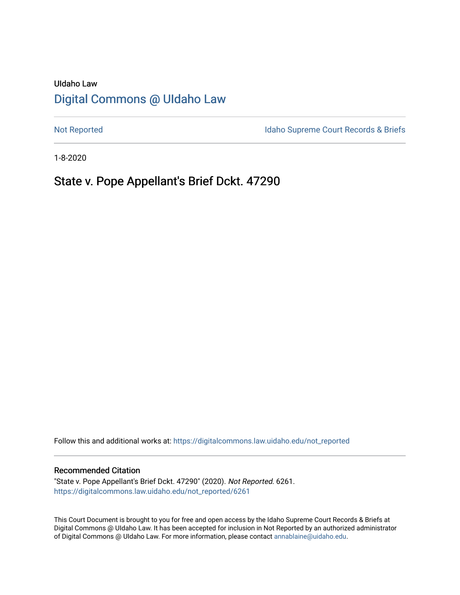# UIdaho Law [Digital Commons @ UIdaho Law](https://digitalcommons.law.uidaho.edu/)

[Not Reported](https://digitalcommons.law.uidaho.edu/not_reported) **Idaho Supreme Court Records & Briefs** 

1-8-2020

# State v. Pope Appellant's Brief Dckt. 47290

Follow this and additional works at: [https://digitalcommons.law.uidaho.edu/not\\_reported](https://digitalcommons.law.uidaho.edu/not_reported?utm_source=digitalcommons.law.uidaho.edu%2Fnot_reported%2F6261&utm_medium=PDF&utm_campaign=PDFCoverPages) 

### Recommended Citation

"State v. Pope Appellant's Brief Dckt. 47290" (2020). Not Reported. 6261. [https://digitalcommons.law.uidaho.edu/not\\_reported/6261](https://digitalcommons.law.uidaho.edu/not_reported/6261?utm_source=digitalcommons.law.uidaho.edu%2Fnot_reported%2F6261&utm_medium=PDF&utm_campaign=PDFCoverPages)

This Court Document is brought to you for free and open access by the Idaho Supreme Court Records & Briefs at Digital Commons @ UIdaho Law. It has been accepted for inclusion in Not Reported by an authorized administrator of Digital Commons @ UIdaho Law. For more information, please contact [annablaine@uidaho.edu](mailto:annablaine@uidaho.edu).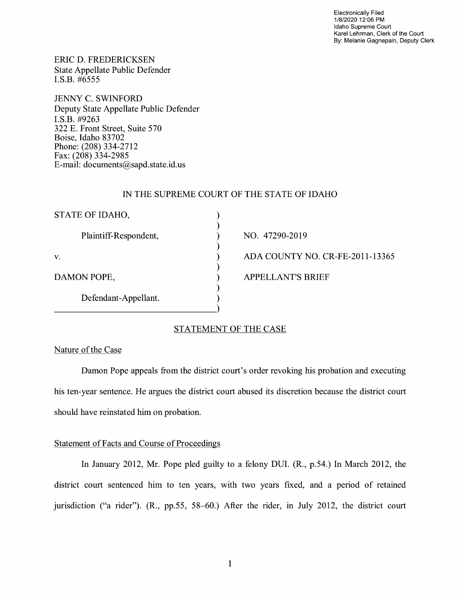Electronically Filed 1/8/2020 12:06 PM Idaho Supreme Court Karel Lehrman, Clerk of the Court By: Melanie Gagnepain, Deputy Clerk

ERIC D. FREDERICKSEN State Appellate Public Defender I.S.B. #6555

JENNY C. SWINFORD Deputy State Appellate Public Defender I.S.B. #9263 322 E. Front Street, Suite 570 Boise, Idaho 83702 Phone: (208) 334-2712 Fax: (208) 334-2985 E-mail: documents@sapd.state.id. us

### IN THE SUPREME COURT OF THE STATE OF IDAHO

| STATE OF IDAHO,       |                                 |
|-----------------------|---------------------------------|
| Plaintiff-Respondent, | NO. 47290-2019                  |
| V.                    | ADA COUNTY NO. CR-FE-2011-13365 |
| DAMON POPE,           | <b>APPELLANT'S BRIEF</b>        |
| Defendant-Appellant.  |                                 |

# STATEMENT OF THE CASE

## Nature of the Case

Damon Pope appeals from the district court's order revoking his probation and executing his ten-year sentence. He argues the district court abused its discretion because the district court should have reinstated him on probation.

## Statement of Facts and Course of Proceedings

In January 2012, Mr. Pope pied guilty to a felony DUI. (R., p.54.) In March 2012, the district court sentenced him to ten years, with two years fixed, and a period of retained jurisdiction ("a rider"). (R., pp.55, 58-60.) After the rider, in July 2012, the district court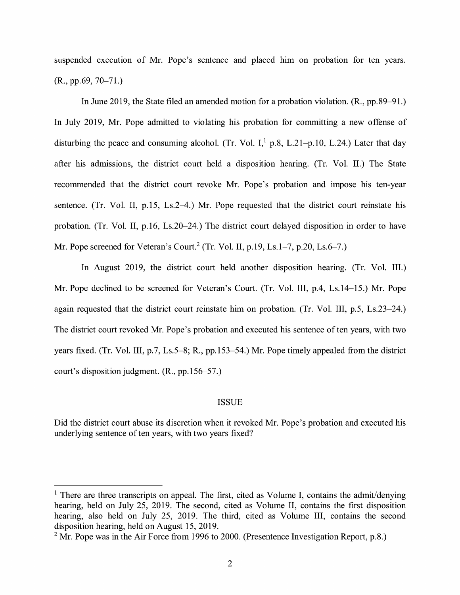suspended execution of Mr. Pope's sentence and placed him on probation for ten years. (R., pp.69, 70-71.)

In June 2019, the State filed an amended motion for a probation violation. (R., pp.89-91.) In July 2019, Mr. Pope admitted to violating his probation for committing a new offense of disturbing the peace and consuming alcohol. (Tr. Vol. I,<sup>1</sup> p.8, L.21-p.10, L.24.) Later that day after his admissions, the district court held a disposition hearing. (Tr. Vol. II.) The State recommended that the district court revoke Mr. Pope's probation and impose his ten-year sentence. (Tr. Vol. II, p.15, Ls.2–4.) Mr. Pope requested that the district court reinstate his probation. (Tr. Vol. II, p.16, Ls.20-24.) The district court delayed disposition in order to have Mr. Pope screened for Veteran's Court.<sup>2</sup> (Tr. Vol. II, p.19, Ls.1–7, p.20, Ls.6–7.)

In August 2019, the district court held another disposition hearing. (Tr. Vol. III.) Mr. Pope declined to be screened for Veteran's Court. (Tr. Vol. III, p.4, Ls.14-15.) Mr. Pope again requested that the district court reinstate him on probation. (Tr. Vol. III, p.5, Ls.23-24.) The district court revoked Mr. Pope's probation and executed his sentence often years, with two years fixed. (Tr. Vol. III, p.7, Ls.5-8; R., pp.153-54.) Mr. Pope timely appealed from the district court's disposition judgment. (R., pp.156-57.)

#### ISSUE

Did the district court abuse its discretion when it revoked Mr. Pope's probation and executed his underlying sentence of ten years, with two years fixed?

 $<sup>1</sup>$  There are three transcripts on appeal. The first, cited as Volume I, contains the admit/denying</sup> hearing, held on July 25, 2019. The second, cited as Volume II, contains the first disposition hearing, also held on July 25, 2019. The third, cited as Volume III, contains the second disposition hearing, held on August 15, 2019.

 $2$  Mr. Pope was in the Air Force from 1996 to 2000. (Presentence Investigation Report, p.8.)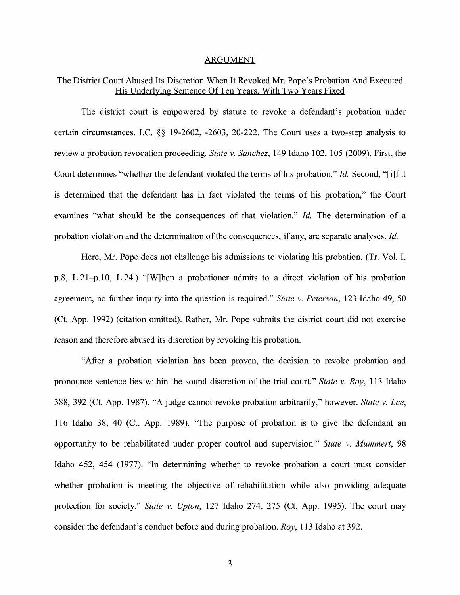#### ARGUMENT

## The District Court Abused Its Discretion When It Revoked Mr. Pope's Probation And Executed His Underlying Sentence Of Ten Years, With Two Years Fixed

The district court is empowered by statute to revoke a defendant's probation under certain circumstances. LC. §§ 19-2602, -2603, 20-222. The Court uses a two-step analysis to review a probation revocation proceeding. *State v. Sanchez,* 149 Idaho 102, 105 (2009). First, the Court determines "whether the defendant violated the terms of his probation." *Id.* Second, "[i]f it is determined that the defendant has in fact violated the terms of his probation," the Court examines "what should be the consequences of that violation." *Id.* The determination of a probation violation and the determination of the consequences, if any, are separate analyses. *Id.* 

Here, Mr. Pope does not challenge his admissions to violating his probation. (Tr. Vol. I, p.8, L.21-p.10, L.24.) "[W]hen a probationer admits to a direct violation of his probation agreement, no further inquiry into the question is required." *State v. Peterson,* 123 Idaho 49, 50 (Ct. App. 1992) ( citation omitted). Rather, Mr. Pope submits the district court did not exercise reason and therefore abused its discretion by revoking his probation.

"After a probation violation has been proven, the decision to revoke probation and pronounce sentence lies within the sound discretion of the trial court." *State v. Roy,* 113 Idaho 388, 392 (Ct. App. 1987). "A judge cannot revoke probation arbitrarily," however. *State v. Lee,*  116 Idaho 38, 40 (Ct. App. 1989). "The purpose of probation is to give the defendant an opportunity to be rehabilitated under proper control and supervision." *State v. Mummert,* 98 Idaho 452, 454 (1977). "In determining whether to revoke probation a court must consider whether probation is meeting the objective of rehabilitation while also providing adequate protection for society." *State v. Upton,* 127 Idaho 274, 275 (Ct. App. 1995). The court may consider the defendant's conduct before and during probation. *Roy,* 113 Idaho at 392.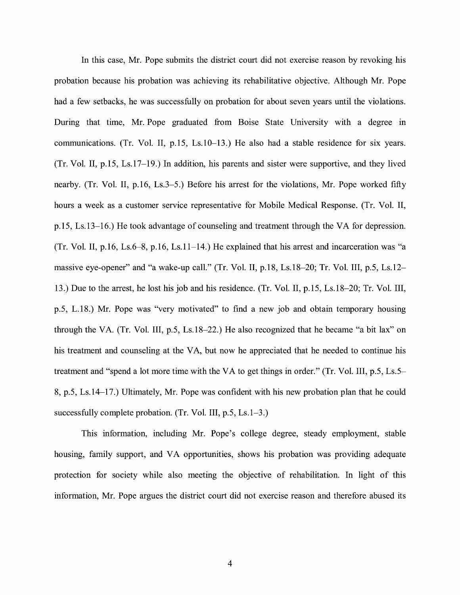In this case, Mr. Pope submits the district court did not exercise reason by revoking his probation because his probation was achieving its rehabilitative objective. Although Mr. Pope had a few setbacks, he was successfully on probation for about seven years until the violations. During that time, Mr. Pope graduated from Boise State University with a degree in communications. (Tr. Vol. II, p.15, Ls.10-13.) He also had a stable residence for six years. (Tr. Vol. II, p.15, Ls.17-19.) In addition, his parents and sister were supportive, and they lived nearby. (Tr. Vol. II, p.16, Ls.3-5.) Before his arrest for the violations, Mr. Pope worked fifty hours a week as a customer service representative for Mobile Medical Response. (Tr. Vol. II, p.15, Ls.13-16.) He took advantage of counseling and treatment through the VA for depression. (Tr. Vol. II, p.16, Ls.6–8, p.16, Ls.11–14.) He explained that his arrest and incarceration was "a massive eye-opener" and "a wake-up call." (Tr. Vol. II, p.18, Ls.18–20; Tr. Vol. III, p.5, Ls.12– 13.) Due to the arrest, he lost his job and his residence. (Tr. Vol. II, p.15, Ls.18-20; Tr. Vol. III, p.5, L.18.) Mr. Pope was "very motivated" to find a new job and obtain temporary housing through the VA. (Tr. Vol. III, p.5, Ls.18-22.) He also recognized that he became "a bit lax" on his treatment and counseling at the VA, but now he appreciated that he needed to continue his treatment and "spend a lot more time with the VA to get things in order." (Tr. Vol. III, p.5, Ls.5- 8, p.5, Ls.14-17.) Ultimately, Mr. Pope was confident with his new probation plan that he could successfully complete probation. (Tr. Vol. III, p.5, Ls.1-3.)

This information, including Mr. Pope's college degree, steady employment, stable housing, family support, and VA opportunities, shows his probation was providing adequate protection for society while also meeting the objective of rehabilitation. In light of this information, Mr. Pope argues the district court did not exercise reason and therefore abused its